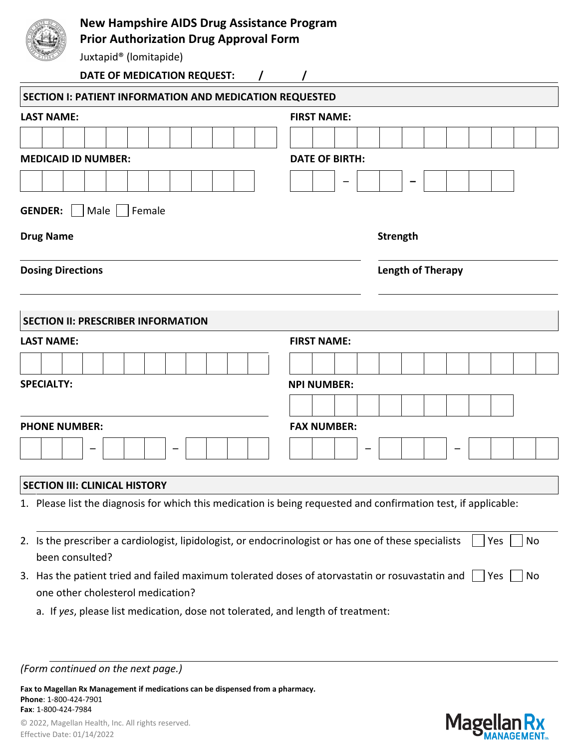## **New Hampshire AIDS Drug Assistance Program**

**Prior Authorization Drug Approval Form**

Juxtapid® (lomitapide)

| DATE OF MEDICATION REQUEST:                                                                                                          |                    |                          |  |  |  |  |  |     |    |  |  |  |
|--------------------------------------------------------------------------------------------------------------------------------------|--------------------|--------------------------|--|--|--|--|--|-----|----|--|--|--|
| <b>SECTION I: PATIENT INFORMATION AND MEDICATION REQUESTED</b>                                                                       |                    |                          |  |  |  |  |  |     |    |  |  |  |
| <b>LAST NAME:</b>                                                                                                                    | <b>FIRST NAME:</b> |                          |  |  |  |  |  |     |    |  |  |  |
|                                                                                                                                      |                    |                          |  |  |  |  |  |     |    |  |  |  |
| <b>MEDICAID ID NUMBER:</b><br><b>DATE OF BIRTH:</b>                                                                                  |                    |                          |  |  |  |  |  |     |    |  |  |  |
|                                                                                                                                      |                    |                          |  |  |  |  |  |     |    |  |  |  |
| <b>GENDER:</b><br>Male $\vert$ $\vert$<br>Female                                                                                     |                    |                          |  |  |  |  |  |     |    |  |  |  |
|                                                                                                                                      |                    |                          |  |  |  |  |  |     |    |  |  |  |
| <b>Drug Name</b>                                                                                                                     |                    | <b>Strength</b>          |  |  |  |  |  |     |    |  |  |  |
| <b>Dosing Directions</b>                                                                                                             |                    | <b>Length of Therapy</b> |  |  |  |  |  |     |    |  |  |  |
|                                                                                                                                      |                    |                          |  |  |  |  |  |     |    |  |  |  |
|                                                                                                                                      |                    |                          |  |  |  |  |  |     |    |  |  |  |
| <b>SECTION II: PRESCRIBER INFORMATION</b>                                                                                            |                    |                          |  |  |  |  |  |     |    |  |  |  |
| <b>LAST NAME:</b>                                                                                                                    | <b>FIRST NAME:</b> |                          |  |  |  |  |  |     |    |  |  |  |
|                                                                                                                                      |                    |                          |  |  |  |  |  |     |    |  |  |  |
| <b>SPECIALTY:</b>                                                                                                                    | <b>NPI NUMBER:</b> |                          |  |  |  |  |  |     |    |  |  |  |
|                                                                                                                                      |                    |                          |  |  |  |  |  |     |    |  |  |  |
| <b>PHONE NUMBER:</b>                                                                                                                 | <b>FAX NUMBER:</b> |                          |  |  |  |  |  |     |    |  |  |  |
|                                                                                                                                      |                    |                          |  |  |  |  |  |     |    |  |  |  |
|                                                                                                                                      |                    |                          |  |  |  |  |  |     |    |  |  |  |
| <b>SECTION III: CLINICAL HISTORY</b>                                                                                                 |                    |                          |  |  |  |  |  |     |    |  |  |  |
| 1. Please list the diagnosis for which this medication is being requested and confirmation test, if applicable:                      |                    |                          |  |  |  |  |  |     |    |  |  |  |
|                                                                                                                                      |                    |                          |  |  |  |  |  |     |    |  |  |  |
| 2. Is the prescriber a cardiologist, lipidologist, or endocrinologist or has one of these specialists                                |                    |                          |  |  |  |  |  | Yes | No |  |  |  |
| been consulted?                                                                                                                      |                    |                          |  |  |  |  |  |     |    |  |  |  |
| 3. Has the patient tried and failed maximum tolerated doses of atorvastatin or rosuvastatin and<br>one other cholesterol medication? |                    |                          |  |  |  |  |  | Yes | No |  |  |  |
| a. If yes, please list medication, dose not tolerated, and length of treatment:                                                      |                    |                          |  |  |  |  |  |     |    |  |  |  |
|                                                                                                                                      |                    |                          |  |  |  |  |  |     |    |  |  |  |
|                                                                                                                                      |                    |                          |  |  |  |  |  |     |    |  |  |  |
| (Form continued on the next page.)                                                                                                   |                    |                          |  |  |  |  |  |     |    |  |  |  |

**Fax to Magellan Rx Management if medications can be dispensed from a pharmacy. Phone**: 1-800-424-7901 **Fax**: 1-800-424-7984

© 2022, Magellan Health, Inc. All rights reserved. Effective Date: 01/14/2022